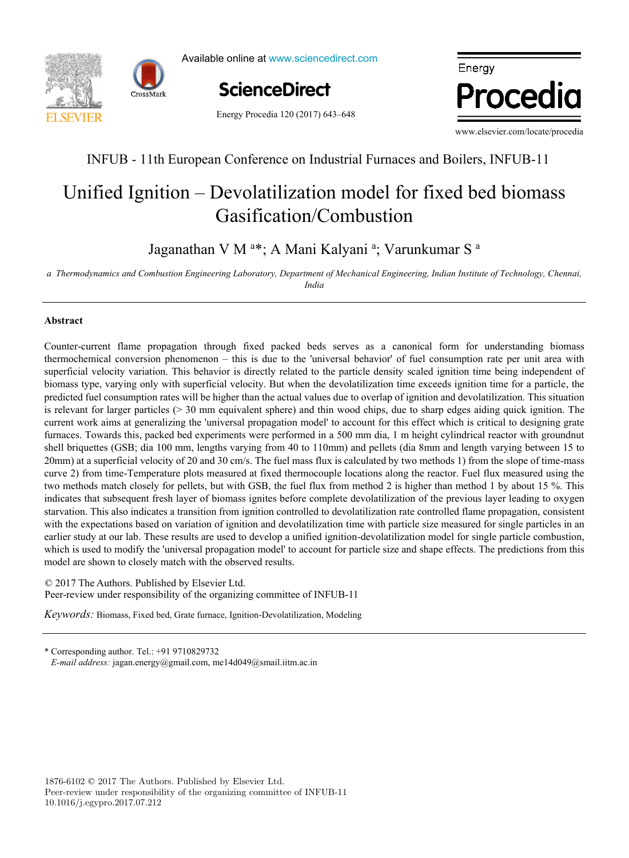



Available online at www.sciencedirect.com

**ScienceDirect** ScienceDirect

, P. Ferrãoa<br>1970 - Paul Barnett, político alemán<br>1970 - Paul Barnett, político alemán

Energy Procedia 120 (2017) 643–648



www.elsevier.com/locate/procedia

,  $\overline{\phantom{a}}$  ,  $\overline{\phantom{a}}$  ,  $\overline{\phantom{a}}$  ,  $\overline{\phantom{a}}$  ,  $\overline{\phantom{a}}$  ,  $\overline{\phantom{a}}$  ,  $\overline{\phantom{a}}$  ,  $\overline{\phantom{a}}$  ,  $\overline{\phantom{a}}$  ,  $\overline{\phantom{a}}$  ,  $\overline{\phantom{a}}$  ,  $\overline{\phantom{a}}$  ,  $\overline{\phantom{a}}$  ,  $\overline{\phantom{a}}$  ,  $\overline{\phantom{a}}$  ,  $\overline{\phantom{a$ 

## INFUB - 11th European Conference on Industrial Furnaces and Boilers, INFUB-11 INFUB - 11th European Conference on Industrial Furnaces and Boilers, INFUB-11

# Gasification/Combustion Unified Ignition – Devolatilization model for fixed bed biomass –

Jaganathan V M<sup>a\*</sup>; A Mani Kalyani<sup>a</sup>; Varunkumar S<sup>a</sup>

a Thermodynamics and Combustion Engineering Laboratory, Department of Mechanical Engineering, Indian Institute of Technology, Chennai,<br>India *India*

, J. Fournier<br>1990 - John Britain, politic and political political political political political political political politi<br>1990 - John Britain, political political political political political political political politic

., B. Lacarrièrec de la carrière de la carrière de la carrière de la carrière de la carrière de la carrière de<br>La carrière de la carrière de la carrière de la carrière de la carrière de la carrière de la carrière de la ca

#### *a* **Abstract Abstract** *IN+ Center for Innovation, Technology and Policy Research - Instituto Superior Técnico, Av. Rovisco Pais 1, 1049-001 Lisbon, Portugal*

<u>I. Andrićanski po</u>

 $\overline{\phantom{a}}$ 

Counter-current flame propagation through fixed packed beds serves as a canonical form for understanding biomass predicted fuel consumption rates will be higher than the actual values due to overlap of ignition and devolatilization. This situation current work aims at generalizing the 'universal propagation model' to account for this effect which is critical to designing grate furnaces. Towards this, packed bed experiments were performed in a 500 mm dia, 1 m height cylindrical reactor with groundnut shell briquettes (GSB; dia 100 mm, lengths varying from 40 to 110mm) and pellets (dia 8mm and length varying between 15 to 20mm) at a superficial velocity of 20 and 30 cm/s. The fuel mass flux is calculated by two methods 1) from the slope of time-mass curve 2) from time-Temperature plots measured at fixed thermocouple locations along the reactor. Fuel flux measured using the two methods match closely for pellets, but with GSB, the fuel flux from method 2 is higher than method 1 by about 15 %. This indicates that subsequent fresh layer of biomass ignites before complete devolatilization of the previous layer leading to oxygen starvation. This also indicates a transition from ignition controlled to devolatilization rate controlled flame propagation, consistent with the expectations based on variation of ignition and devolatilization time with particle size measured for single particles in an earlier study at our lab. These results are used to develop a unified ignition-devolatilization model for single particle combustion, which is used to modify the 'universal propagation model' to account for particle size and shape effects. The predictions from this model are shown to closely match with the observed results. The value of slope coefficient increased on average with the range of  $3.8$  per decade, that corresponds to the range of  $3.8$ thermochemical conversion phenomenon – this is due to the 'universal behavior' of fuel consumption rate per unit area with superficial velocity variation. This behavior is directly related to the particle density scaled ignition time being independent of biomass type, varying only with superficial velocity. But when the devolatilization time exceeds ignition time for a particle, the is relevant for larger particles ( $>$  30 mm equivalent sphere) and thin wood chips, due to sharp edges aiding quick ignition. The **Example 1988 ScienceDirect**<br> **EXAMERENT EXAMELENT CONSULTS INTERNATIVE CONSULTS INTO THE CONSULTS INTO THE CONSULTS INTO THE CONSULTS INTO THE CONSULTS INTO THE CONSULTS INTO THE CONSULTS INTO THE CONSULTS INTO THE CONSU** 

© 2017 The Authors. Published by Elsevier Ltd.  $\degree$  2017 The Authors. Published by Eisevier Ltd.<br>Peer-review under responsibility of the organizing committee of INFUB-11

coupled scenarios). The values suggested could be used to modify the function parameters for the scenarios considered, and *Keywords:* Biomass, Fixed bed, Grate furnace, Ignition-Devolatilization, Modeling

<sup>©</sup> 2017 The Authors. Published by Elsevier Ltd. \* Corresponding author. Tel.: +91 9710829732 \* Corresponding author. Tel.: +91 9710829732 E-mail address: jagan.energy@gmail.com, me14d049@smail.iitm.ac.in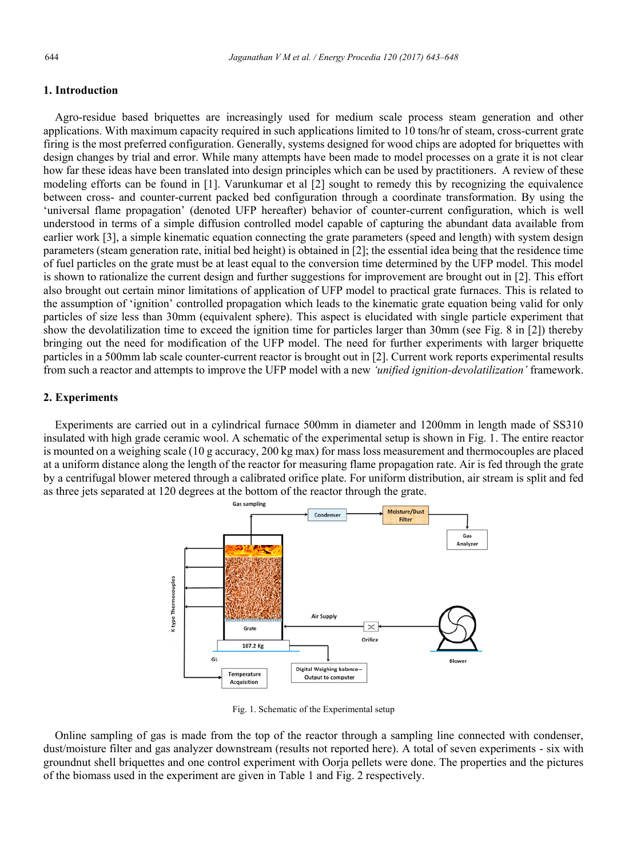#### **1. Introduction**

 Agro-residue based briquettes are increasingly used for medium scale process steam generation and other applications. With maximum capacity required in such applications limited to 10 tons/hr of steam, cross-current grate firing is the most preferred configuration. Generally, systems designed for wood chips are adopted for briquettes with design changes by trial and error. While many attempts have been made to model processes on a grate it is not clear how far these ideas have been translated into design principles which can be used by practitioners. A review of these modeling efforts can be found in [1]. Varunkumar et al [2] sought to remedy this by recognizing the equivalence between cross- and counter-current packed bed configuration through a coordinate transformation. By using the 'universal flame propagation' (denoted UFP hereafter) behavior of counter-current configuration, which is well understood in terms of a simple diffusion controlled model capable of capturing the abundant data available from earlier work [3], a simple kinematic equation connecting the grate parameters (speed and length) with system design parameters (steam generation rate, initial bed height) is obtained in [2]; the essential idea being that the residence time of fuel particles on the grate must be at least equal to the conversion time determined by the UFP model. This model is shown to rationalize the current design and further suggestions for improvement are brought out in [2]. This effort also brought out certain minor limitations of application of UFP model to practical grate furnaces. This is related to the assumption of 'ignition' controlled propagation which leads to the kinematic grate equation being valid for only particles of size less than 30mm (equivalent sphere). This aspect is elucidated with single particle experiment that show the devolatilization time to exceed the ignition time for particles larger than 30mm (see Fig. 8 in [2]) thereby bringing out the need for modification of the UFP model. The need for further experiments with larger briquette particles in a 500mm lab scale counter-current reactor is brought out in [2]. Current work reports experimental results from such a reactor and attempts to improve the UFP model with a new *'unified ignition-devolatilization'* framework.

#### **2. Experiments**

 Experiments are carried out in a cylindrical furnace 500mm in diameter and 1200mm in length made of SS310 insulated with high grade ceramic wool. A schematic of the experimental setup is shown in Fig. 1. The entire reactor is mounted on a weighing scale (10 g accuracy, 200 kg max) for mass loss measurement and thermocouples are placed at a uniform distance along the length of the reactor for measuring flame propagation rate. Air is fed through the grate by a centrifugal blower metered through a calibrated orifice plate. For uniform distribution, air stream is split and fed as three jets separated at 120 degrees at the bottom of the reactor through the grate.



Fig. 1. Schematic of the Experimental setup

 Online sampling of gas is made from the top of the reactor through a sampling line connected with condenser, dust/moisture filter and gas analyzer downstream (results not reported here). A total of seven experiments - six with groundnut shell briquettes and one control experiment with Oorja pellets were done. The properties and the pictures of the biomass used in the experiment are given in Table 1 and Fig. 2 respectively.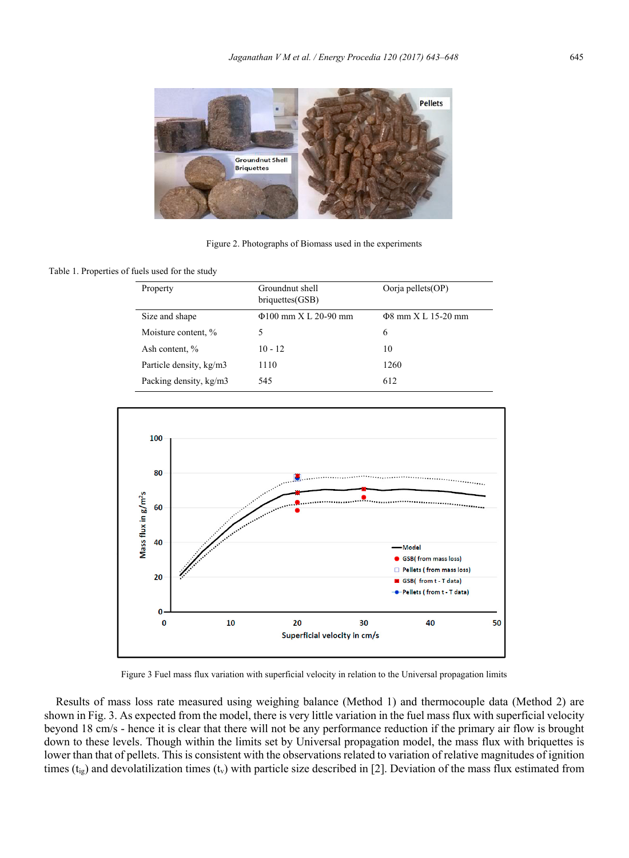

Figure 2. Photographs of Biomass used in the experiments

Table 1. Properties of fuels used for the study

| Property                | Groundnut shell<br>briquettes(GSB) | Oorja pellets(OP)        |
|-------------------------|------------------------------------|--------------------------|
| Size and shape          | $\Phi$ 100 mm X L 20-90 mm         | $\Phi$ 8 mm X L 15-20 mm |
| Moisture content, %     | 5                                  | 6                        |
| Ash content, %          | $10 - 12$                          | 10                       |
| Particle density, kg/m3 | 1110                               | 1260                     |
| Packing density, kg/m3  | 545                                | 612                      |



Figure 3 Fuel mass flux variation with superficial velocity in relation to the Universal propagation limits

 Results of mass loss rate measured using weighing balance (Method 1) and thermocouple data (Method 2) are shown in Fig. 3. As expected from the model, there is very little variation in the fuel mass flux with superficial velocity beyond 18 cm/s - hence it is clear that there will not be any performance reduction if the primary air flow is brought down to these levels. Though within the limits set by Universal propagation model, the mass flux with briquettes is lower than that of pellets. This is consistent with the observations related to variation of relative magnitudes of ignition times ( $t_{ig}$ ) and devolatilization times ( $t_v$ ) with particle size described in [2]. Deviation of the mass flux estimated from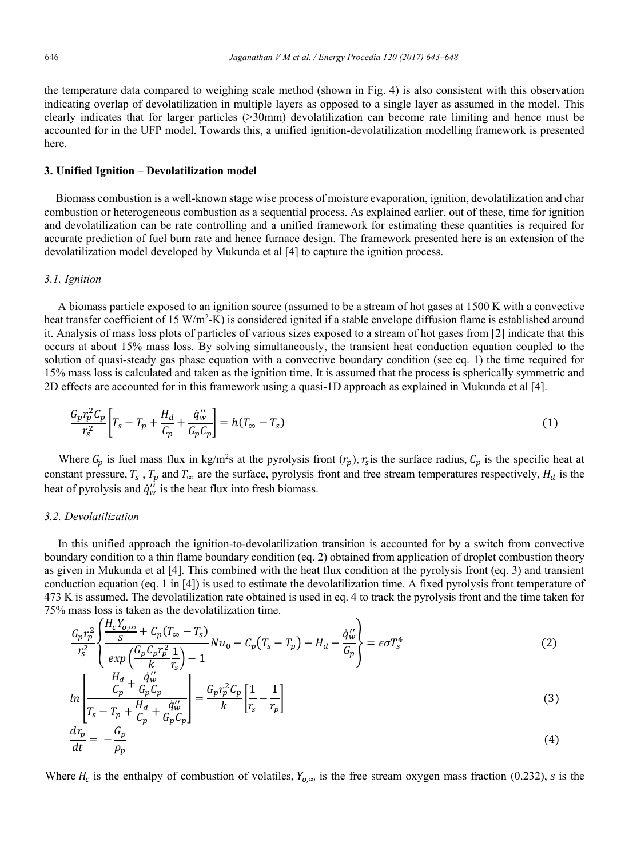the temperature data compared to weighing scale method (shown in Fig. 4) is also consistent with this observation indicating overlap of devolatilization in multiple layers as opposed to a single layer as assumed in the model. This clearly indicates that for larger particles (>30mm) devolatilization can become rate limiting and hence must be accounted for in the UFP model. Towards this, a unified ignition-devolatilization modelling framework is presented here.

#### **3. Unified Ignition – Devolatilization model**

 Biomass combustion is a well-known stage wise process of moisture evaporation, ignition, devolatilization and char combustion or heterogeneous combustion as a sequential process. As explained earlier, out of these, time for ignition and devolatilization can be rate controlling and a unified framework for estimating these quantities is required for accurate prediction of fuel burn rate and hence furnace design. The framework presented here is an extension of the devolatilization model developed by Mukunda et al [4] to capture the ignition process.

#### *3.1. Ignition*

A biomass particle exposed to an ignition source (assumed to be a stream of hot gases at 1500 K with a convective heat transfer coefficient of 15 W/m<sup>2</sup>-K) is considered ignited if a stable envelope diffusion flame is established around it. Analysis of mass loss plots of particles of various sizes exposed to a stream of hot gases from [2] indicate that this occurs at about 15% mass loss. By solving simultaneously, the transient heat conduction equation coupled to the solution of quasi-steady gas phase equation with a convective boundary condition (see eq. 1) the time required for 15% mass loss is calculated and taken as the ignition time. It is assumed that the process is spherically symmetric and 2D effects are accounted for in this framework using a quasi-1D approach as explained in Mukunda et al [4].

$$
\frac{G_p r_p^2 C_p}{r_s^2} \left[ T_s - T_p + \frac{H_d}{C_p} + \frac{\dot{q}_w''}{G_p C_p} \right] = h(T_\infty - T_s)
$$
\n(1)

Where  $G_p$  is fuel mass flux in kg/m<sup>2</sup>s at the pyrolysis front  $(r_p)$ ,  $r_s$  is the surface radius,  $C_p$  is the specific heat at constant pressure,  $T_s$ ,  $T_p$  and  $T_\infty$  are the surface, pyrolysis front and free stream temperatures respectively,  $H_d$  is the heat of pyrolysis and  $\dot{q}_w$  is the heat flux into fresh biomass.

#### *3.2. Devolatilization*

In this unified approach the ignition-to-devolatilization transition is accounted for by a switch from convective boundary condition to a thin flame boundary condition (eq. 2) obtained from application of droplet combustion theory as given in Mukunda et al [4]. This combined with the heat flux condition at the pyrolysis front (eq. 3) and transient conduction equation (eq. 1 in [4]) is used to estimate the devolatilization time. A fixed pyrolysis front temperature of 473 K is assumed. The devolatilization rate obtained is used in eq. 4 to track the pyrolysis front and the time taken for 75% mass loss is taken as the devolatilization time.

$$
\frac{G_p r_p^2}{r_s^2} \left\{ \frac{H_c Y_{0,\infty}}{s} + C_p (T_{\infty} - T_s) N u_0 - C_p (T_s - T_p) - H_a - \frac{\dot{q}_w''}{G_p} \right\} = \epsilon \sigma T_s^4
$$
\n
$$
\left[ \frac{H_c}{r_s} \frac{d_w''}{dt} \right] - 1
$$
\n
$$
\left[ \frac{H_d}{dt} \frac{d_w''}{dt} \right] \tag{2}
$$

$$
ln\left[\frac{\frac{H_d}{C_p} + \frac{q_w'}{G_p C_p}}{T_s - T_p + \frac{H_d}{C_p} + \frac{\dot{q}_w''}{G_p C_p}}\right] = \frac{G_p r_p^2 C_p}{k} \left[\frac{1}{r_s} - \frac{1}{r_p}\right]
$$
(3)

$$
\frac{d\eta_p}{dt} = -\frac{G_p}{\rho_p} \tag{4}
$$

Where  $H_c$  is the enthalpy of combustion of volatiles,  $Y_{o,\infty}$  is the free stream oxygen mass fraction (0.232), *s* is the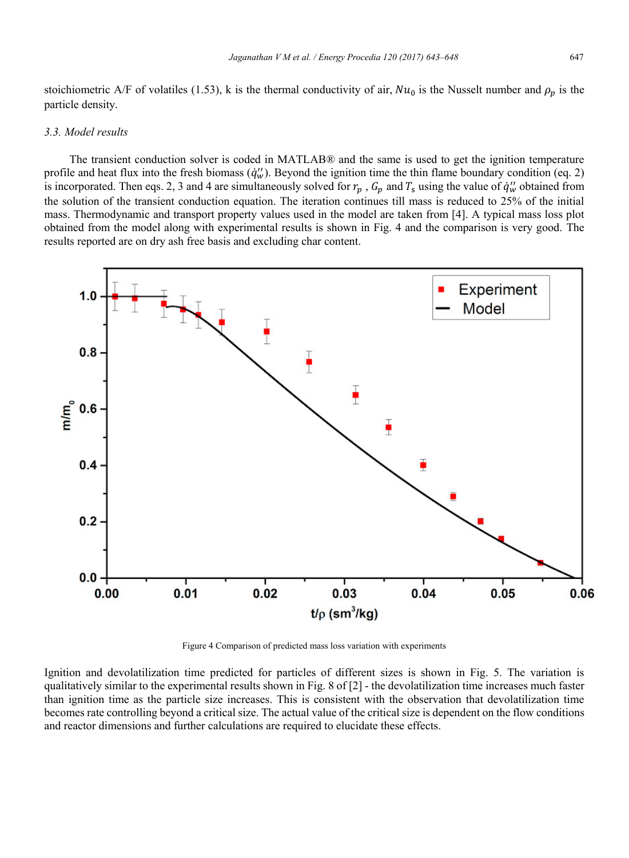stoichiometric A/F of volatiles (1.53), k is the thermal conductivity of air,  $Nu_0$  is the Nusselt number and  $\rho_p$  is the particle density.

#### *3.3. Model results*

 The transient conduction solver is coded in MATLAB® and the same is used to get the ignition temperature profile and heat flux into the fresh biomass  $(\dot{q}_w'')$ . Beyond the ignition time the thin flame boundary condition (eq. 2) is incorporated. Then eqs. 2, 3 and 4 are simultaneously solved for  $r_p$ ,  $G_p$  and  $T_s$  using the value of  $\dot{q}_w''$  obtained from the solution of the transient conduction equation. The iteration continues till mass is reduced to 25% of the initial mass. Thermodynamic and transport property values used in the model are taken from [4]. A typical mass loss plot obtained from the model along with experimental results is shown in Fig. 4 and the comparison is very good. The results reported are on dry ash free basis and excluding char content.



Figure 4 Comparison of predicted mass loss variation with experiments

Ignition and devolatilization time predicted for particles of different sizes is shown in Fig. 5. The variation is qualitatively similar to the experimental results shown in Fig. 8 of [2] - the devolatilization time increases much faster than ignition time as the particle size increases. This is consistent with the observation that devolatilization time becomes rate controlling beyond a critical size. The actual value of the critical size is dependent on the flow conditions and reactor dimensions and further calculations are required to elucidate these effects.